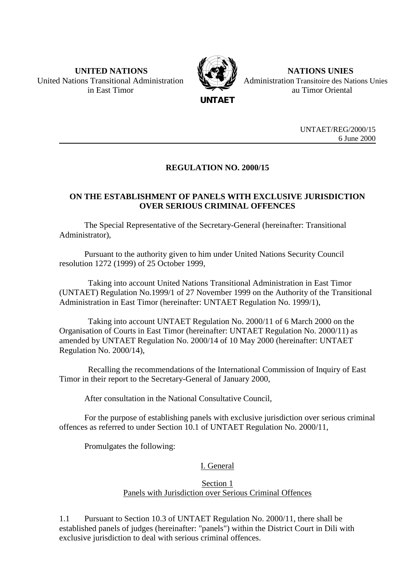United Nations Transitional Administration **Administration Administration Transitoire des Nations Unies** 



 **UNITED NATIONS NATIONS UNIES** in East Timor au Timor Oriental

### **UNTAET**

UNTAET/REG/2000/15 6 June 2000

# **REGULATION NO. 2000/15**

### **ON THE ESTABLISHMENT OF PANELS WITH EXCLUSIVE JURISDICTION OVER SERIOUS CRIMINAL OFFENCES**

The Special Representative of the Secretary-General (hereinafter: Transitional Administrator),

Pursuant to the authority given to him under United Nations Security Council resolution 1272 (1999) of 25 October 1999,

Taking into account United Nations Transitional Administration in East Timor (UNTAET) Regulation No.1999/1 of 27 November 1999 on the Authority of the Transitional Administration in East Timor (hereinafter: UNTAET Regulation No. 1999/1),

Taking into account UNTAET Regulation No. 2000/11 of 6 March 2000 on the Organisation of Courts in East Timor (hereinafter: UNTAET Regulation No. 2000/11) as amended by UNTAET Regulation No. 2000/14 of 10 May 2000 (hereinafter: UNTAET Regulation No. 2000/14),

Recalling the recommendations of the International Commission of Inquiry of East Timor in their report to the Secretary-General of January 2000,

After consultation in the National Consultative Council,

For the purpose of establishing panels with exclusive jurisdiction over serious criminal offences as referred to under Section 10.1 of UNTAET Regulation No. 2000/11,

Promulgates the following:

### I. General

### Section 1 Panels with Jurisdiction over Serious Criminal Offences

1.1 Pursuant to Section 10.3 of UNTAET Regulation No. 2000/11, there shall be established panels of judges (hereinafter: "panels") within the District Court in Dili with exclusive jurisdiction to deal with serious criminal offences.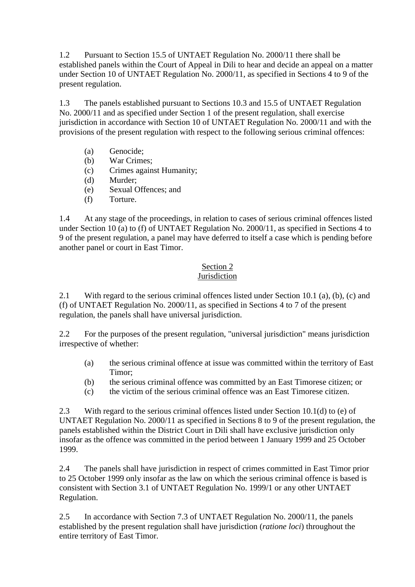1.2 Pursuant to Section 15.5 of UNTAET Regulation No. 2000/11 there shall be established panels within the Court of Appeal in Dili to hear and decide an appeal on a matter under Section 10 of UNTAET Regulation No. 2000/11, as specified in Sections 4 to 9 of the present regulation.

1.3 The panels established pursuant to Sections 10.3 and 15.5 of UNTAET Regulation No. 2000/11 and as specified under Section 1 of the present regulation, shall exercise jurisdiction in accordance with Section 10 of UNTAET Regulation No. 2000/11 and with the provisions of the present regulation with respect to the following serious criminal offences:

- (a) Genocide;
- (b) War Crimes;
- (c) Crimes against Humanity;
- (d) Murder;
- (e) Sexual Offences; and
- (f) Torture.

1.4 At any stage of the proceedings, in relation to cases of serious criminal offences listed under Section 10 (a) to (f) of UNTAET Regulation No. 2000/11, as specified in Sections 4 to 9 of the present regulation, a panel may have deferred to itself a case which is pending before another panel or court in East Timor.

# Section 2

### **Jurisdiction**

2.1 With regard to the serious criminal offences listed under Section 10.1 (a), (b), (c) and (f) of UNTAET Regulation No. 2000/11, as specified in Sections 4 to 7 of the present regulation, the panels shall have universal jurisdiction.

2.2 For the purposes of the present regulation, "universal jurisdiction" means jurisdiction irrespective of whether:

- (a) the serious criminal offence at issue was committed within the territory of East Timor;
- (b) the serious criminal offence was committed by an East Timorese citizen; or
- (c) the victim of the serious criminal offence was an East Timorese citizen.

2.3 With regard to the serious criminal offences listed under Section 10.1(d) to (e) of UNTAET Regulation No. 2000/11 as specified in Sections 8 to 9 of the present regulation, the panels established within the District Court in Dili shall have exclusive jurisdiction only insofar as the offence was committed in the period between 1 January 1999 and 25 October 1999.

2.4 The panels shall have jurisdiction in respect of crimes committed in East Timor prior to 25 October 1999 only insofar as the law on which the serious criminal offence is based is consistent with Section 3.1 of UNTAET Regulation No. 1999/1 or any other UNTAET Regulation.

2.5 In accordance with Section 7.3 of UNTAET Regulation No. 2000/11, the panels established by the present regulation shall have jurisdiction (*ratione loci*) throughout the entire territory of East Timor.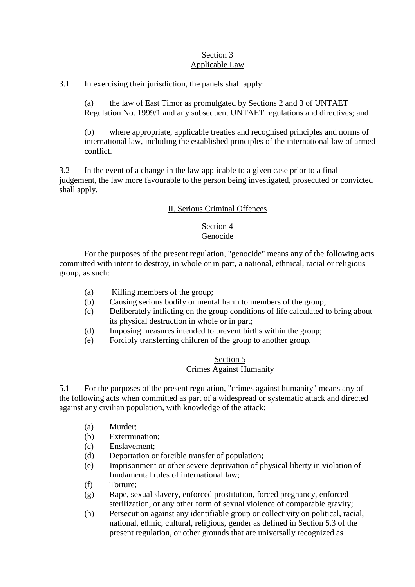### Section 3 Applicable Law

3.1 In exercising their jurisdiction, the panels shall apply:

(a) the law of East Timor as promulgated by Sections 2 and 3 of UNTAET Regulation No. 1999/1 and any subsequent UNTAET regulations and directives; and

(b) where appropriate, applicable treaties and recognised principles and norms of international law, including the established principles of the international law of armed conflict.

3.2 In the event of a change in the law applicable to a given case prior to a final judgement, the law more favourable to the person being investigated, prosecuted or convicted shall apply.

### II. Serious Criminal Offences

# Section 4 Genocide

For the purposes of the present regulation, "genocide" means any of the following acts committed with intent to destroy, in whole or in part, a national, ethnical, racial or religious group, as such:

- (a) Killing members of the group;
- (b) Causing serious bodily or mental harm to members of the group;
- (c) Deliberately inflicting on the group conditions of life calculated to bring about its physical destruction in whole or in part;
- (d) Imposing measures intended to prevent births within the group;
- (e) Forcibly transferring children of the group to another group.

### Section 5 Crimes Against Humanity

# 5.1 For the purposes of the present regulation, "crimes against humanity" means any of

the following acts when committed as part of a widespread or systematic attack and directed against any civilian population, with knowledge of the attack:

- (a) Murder;
- (b) Extermination;
- (c) Enslavement;
- (d) Deportation or forcible transfer of population;
- (e) Imprisonment or other severe deprivation of physical liberty in violation of fundamental rules of international law;
- (f) Torture;
- (g) Rape, sexual slavery, enforced prostitution, forced pregnancy, enforced sterilization, or any other form of sexual violence of comparable gravity;
- (h) Persecution against any identifiable group or collectivity on political, racial, national, ethnic, cultural, religious, gender as defined in Section 5.3 of the present regulation, or other grounds that are universally recognized as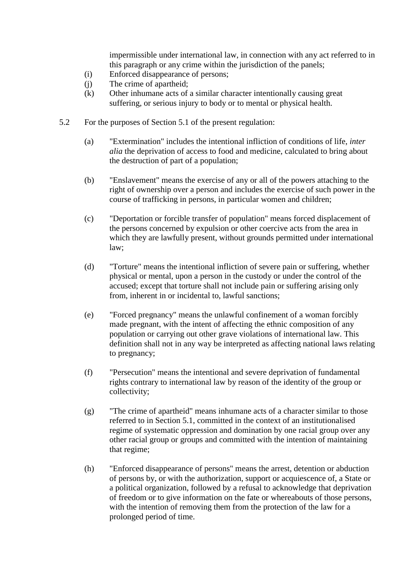impermissible under international law, in connection with any act referred to in this paragraph or any crime within the jurisdiction of the panels;

- (i) Enforced disappearance of persons;
- (j) The crime of apartheid;
- (k) Other inhumane acts of a similar character intentionally causing great suffering, or serious injury to body or to mental or physical health.
- 5.2 For the purposes of Section 5.1 of the present regulation:
	- (a) "Extermination" includes the intentional infliction of conditions of life, *inter alia* the deprivation of access to food and medicine, calculated to bring about the destruction of part of a population;
	- (b) "Enslavement" means the exercise of any or all of the powers attaching to the right of ownership over a person and includes the exercise of such power in the course of trafficking in persons, in particular women and children;
	- (c) "Deportation or forcible transfer of population" means forced displacement of the persons concerned by expulsion or other coercive acts from the area in which they are lawfully present, without grounds permitted under international law;
	- (d) "Torture" means the intentional infliction of severe pain or suffering, whether physical or mental, upon a person in the custody or under the control of the accused; except that torture shall not include pain or suffering arising only from, inherent in or incidental to, lawful sanctions;
	- (e) "Forced pregnancy" means the unlawful confinement of a woman forcibly made pregnant, with the intent of affecting the ethnic composition of any population or carrying out other grave violations of international law. This definition shall not in any way be interpreted as affecting national laws relating to pregnancy;
	- (f) "Persecution" means the intentional and severe deprivation of fundamental rights contrary to international law by reason of the identity of the group or collectivity;
	- (g) "The crime of apartheid" means inhumane acts of a character similar to those referred to in Section 5.1, committed in the context of an institutionalised regime of systematic oppression and domination by one racial group over any other racial group or groups and committed with the intention of maintaining that regime;
	- (h) "Enforced disappearance of persons" means the arrest, detention or abduction of persons by, or with the authorization, support or acquiescence of, a State or a political organization, followed by a refusal to acknowledge that deprivation of freedom or to give information on the fate or whereabouts of those persons, with the intention of removing them from the protection of the law for a prolonged period of time.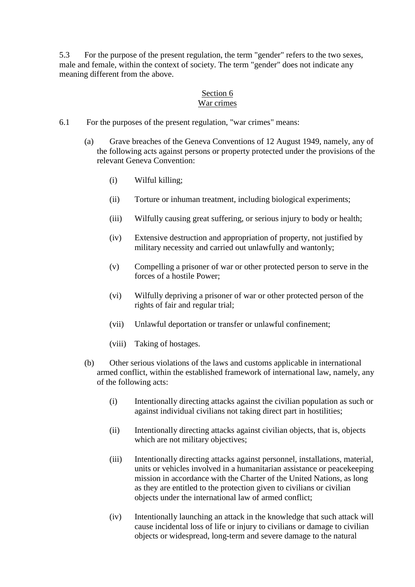5.3 For the purpose of the present regulation, the term "gender" refers to the two sexes, male and female, within the context of society. The term "gender" does not indicate any meaning different from the above.

#### Section 6 War crimes

- 6.1 For the purposes of the present regulation, "war crimes" means:
	- (a) Grave breaches of the Geneva Conventions of 12 August 1949, namely, any of the following acts against persons or property protected under the provisions of the relevant Geneva Convention:
		- (i) Wilful killing;
		- (ii) Torture or inhuman treatment, including biological experiments;
		- (iii) Wilfully causing great suffering, or serious injury to body or health;
		- (iv) Extensive destruction and appropriation of property, not justified by military necessity and carried out unlawfully and wantonly;
		- (v) Compelling a prisoner of war or other protected person to serve in the forces of a hostile Power;
		- (vi) Wilfully depriving a prisoner of war or other protected person of the rights of fair and regular trial;
		- (vii) Unlawful deportation or transfer or unlawful confinement;
		- (viii) Taking of hostages.
	- (b) Other serious violations of the laws and customs applicable in international armed conflict, within the established framework of international law, namely, any of the following acts:
		- (i) Intentionally directing attacks against the civilian population as such or against individual civilians not taking direct part in hostilities;
		- (ii) Intentionally directing attacks against civilian objects, that is, objects which are not military objectives;
		- (iii) Intentionally directing attacks against personnel, installations, material, units or vehicles involved in a humanitarian assistance or peacekeeping mission in accordance with the Charter of the United Nations, as long as they are entitled to the protection given to civilians or civilian objects under the international law of armed conflict;
		- (iv) Intentionally launching an attack in the knowledge that such attack will cause incidental loss of life or injury to civilians or damage to civilian objects or widespread, long-term and severe damage to the natural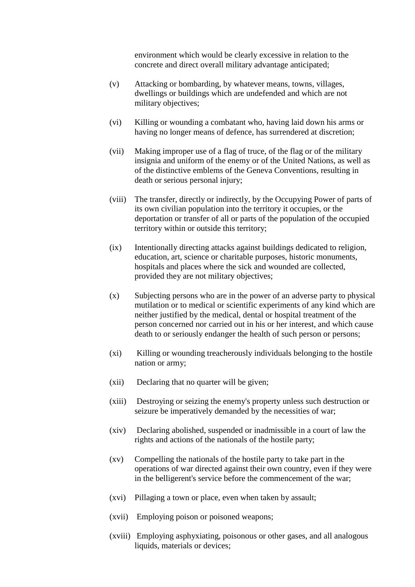environment which would be clearly excessive in relation to the concrete and direct overall military advantage anticipated;

- (v) Attacking or bombarding, by whatever means, towns, villages, dwellings or buildings which are undefended and which are not military objectives;
- (vi) Killing or wounding a combatant who, having laid down his arms or having no longer means of defence, has surrendered at discretion;
- (vii) Making improper use of a flag of truce, of the flag or of the military insignia and uniform of the enemy or of the United Nations, as well as of the distinctive emblems of the Geneva Conventions, resulting in death or serious personal injury;
- (viii) The transfer, directly or indirectly, by the Occupying Power of parts of its own civilian population into the territory it occupies, or the deportation or transfer of all or parts of the population of the occupied territory within or outside this territory;
- (ix) Intentionally directing attacks against buildings dedicated to religion, education, art, science or charitable purposes, historic monuments, hospitals and places where the sick and wounded are collected, provided they are not military objectives;
- (x) Subjecting persons who are in the power of an adverse party to physical mutilation or to medical or scientific experiments of any kind which are neither justified by the medical, dental or hospital treatment of the person concerned nor carried out in his or her interest, and which cause death to or seriously endanger the health of such person or persons;
- (xi) Killing or wounding treacherously individuals belonging to the hostile nation or army;
- (xii) Declaring that no quarter will be given;
- (xiii) Destroying or seizing the enemy's property unless such destruction or seizure be imperatively demanded by the necessities of war;
- (xiv) Declaring abolished, suspended or inadmissible in a court of law the rights and actions of the nationals of the hostile party;
- (xv) Compelling the nationals of the hostile party to take part in the operations of war directed against their own country, even if they were in the belligerent's service before the commencement of the war;
- (xvi) Pillaging a town or place, even when taken by assault;
- (xvii) Employing poison or poisoned weapons;
- (xviii) Employing asphyxiating, poisonous or other gases, and all analogous liquids, materials or devices;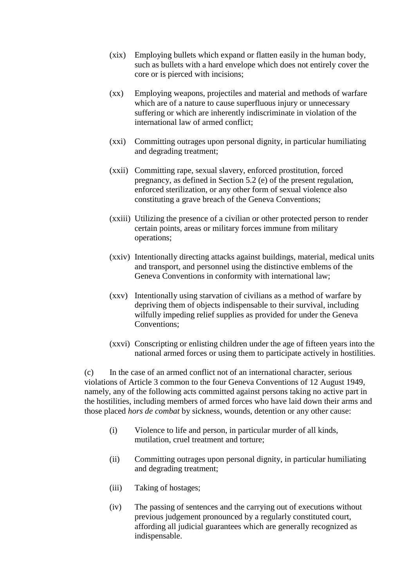- (xix) Employing bullets which expand or flatten easily in the human body, such as bullets with a hard envelope which does not entirely cover the core or is pierced with incisions;
- (xx) Employing weapons, projectiles and material and methods of warfare which are of a nature to cause superfluous injury or unnecessary suffering or which are inherently indiscriminate in violation of the international law of armed conflict;
- (xxi) Committing outrages upon personal dignity, in particular humiliating and degrading treatment;
- (xxii) Committing rape, sexual slavery, enforced prostitution, forced pregnancy, as defined in Section 5.2 (e) of the present regulation, enforced sterilization, or any other form of sexual violence also constituting a grave breach of the Geneva Conventions;
- (xxiii) Utilizing the presence of a civilian or other protected person to render certain points, areas or military forces immune from military operations;
- (xxiv) Intentionally directing attacks against buildings, material, medical units and transport, and personnel using the distinctive emblems of the Geneva Conventions in conformity with international law;
- (xxv) Intentionally using starvation of civilians as a method of warfare by depriving them of objects indispensable to their survival, including wilfully impeding relief supplies as provided for under the Geneva Conventions;
- (xxvi) Conscripting or enlisting children under the age of fifteen years into the national armed forces or using them to participate actively in hostilities.

(c) In the case of an armed conflict not of an international character, serious violations of Article 3 common to the four Geneva Conventions of 12 August 1949, namely, any of the following acts committed against persons taking no active part in the hostilities, including members of armed forces who have laid down their arms and those placed *hors de combat* by sickness, wounds, detention or any other cause:

- (i) Violence to life and person, in particular murder of all kinds, mutilation, cruel treatment and torture;
- (ii) Committing outrages upon personal dignity, in particular humiliating and degrading treatment;
- (iii) Taking of hostages;
- (iv) The passing of sentences and the carrying out of executions without previous judgement pronounced by a regularly constituted court, affording all judicial guarantees which are generally recognized as indispensable.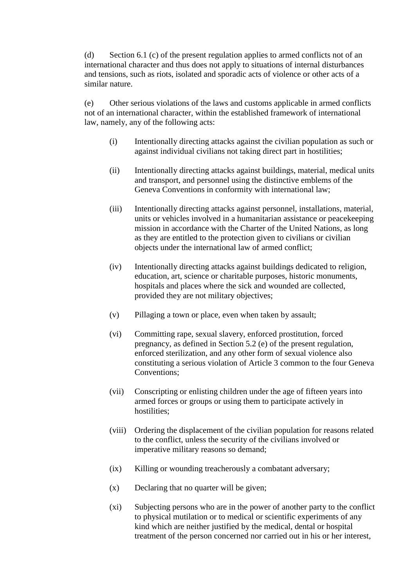(d) Section 6.1 (c) of the present regulation applies to armed conflicts not of an international character and thus does not apply to situations of internal disturbances and tensions, such as riots, isolated and sporadic acts of violence or other acts of a similar nature.

(e) Other serious violations of the laws and customs applicable in armed conflicts not of an international character, within the established framework of international law, namely, any of the following acts:

- (i) Intentionally directing attacks against the civilian population as such or against individual civilians not taking direct part in hostilities;
- (ii) Intentionally directing attacks against buildings, material, medical units and transport, and personnel using the distinctive emblems of the Geneva Conventions in conformity with international law;
- (iii) Intentionally directing attacks against personnel, installations, material, units or vehicles involved in a humanitarian assistance or peacekeeping mission in accordance with the Charter of the United Nations, as long as they are entitled to the protection given to civilians or civilian objects under the international law of armed conflict;
- (iv) Intentionally directing attacks against buildings dedicated to religion, education, art, science or charitable purposes, historic monuments, hospitals and places where the sick and wounded are collected, provided they are not military objectives;
- (v) Pillaging a town or place, even when taken by assault;
- (vi) Committing rape, sexual slavery, enforced prostitution, forced pregnancy, as defined in Section 5.2 (e) of the present regulation, enforced sterilization, and any other form of sexual violence also constituting a serious violation of Article 3 common to the four Geneva Conventions;
- (vii) Conscripting or enlisting children under the age of fifteen years into armed forces or groups or using them to participate actively in hostilities;
- (viii) Ordering the displacement of the civilian population for reasons related to the conflict, unless the security of the civilians involved or imperative military reasons so demand;
- (ix) Killing or wounding treacherously a combatant adversary;
- (x) Declaring that no quarter will be given;
- (xi) Subjecting persons who are in the power of another party to the conflict to physical mutilation or to medical or scientific experiments of any kind which are neither justified by the medical, dental or hospital treatment of the person concerned nor carried out in his or her interest,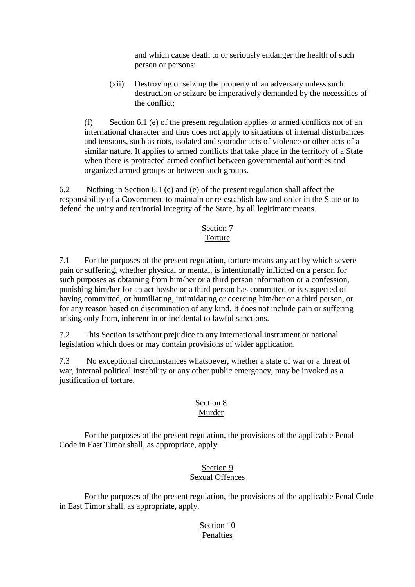and which cause death to or seriously endanger the health of such person or persons;

(xii) Destroying or seizing the property of an adversary unless such destruction or seizure be imperatively demanded by the necessities of the conflict;

(f) Section 6.1 (e) of the present regulation applies to armed conflicts not of an international character and thus does not apply to situations of internal disturbances and tensions, such as riots, isolated and sporadic acts of violence or other acts of a similar nature. It applies to armed conflicts that take place in the territory of a State when there is protracted armed conflict between governmental authorities and organized armed groups or between such groups.

6.2 Nothing in Section 6.1 (c) and (e) of the present regulation shall affect the responsibility of a Government to maintain or re-establish law and order in the State or to defend the unity and territorial integrity of the State, by all legitimate means.

### Section 7 Torture

7.1 For the purposes of the present regulation, torture means any act by which severe pain or suffering, whether physical or mental, is intentionally inflicted on a person for such purposes as obtaining from him/her or a third person information or a confession, punishing him/her for an act he/she or a third person has committed or is suspected of having committed, or humiliating, intimidating or coercing him/her or a third person, or for any reason based on discrimination of any kind. It does not include pain or suffering arising only from, inherent in or incidental to lawful sanctions.

7.2 This Section is without prejudice to any international instrument or national legislation which does or may contain provisions of wider application.

7.3 No exceptional circumstances whatsoever, whether a state of war or a threat of war, internal political instability or any other public emergency, may be invoked as a justification of torture.

# Section 8 Murder

For the purposes of the present regulation, the provisions of the applicable Penal Code in East Timor shall, as appropriate, apply.

### Section 9 Sexual Offences

For the purposes of the present regulation, the provisions of the applicable Penal Code in East Timor shall, as appropriate, apply.

# Section 10 **Penalties**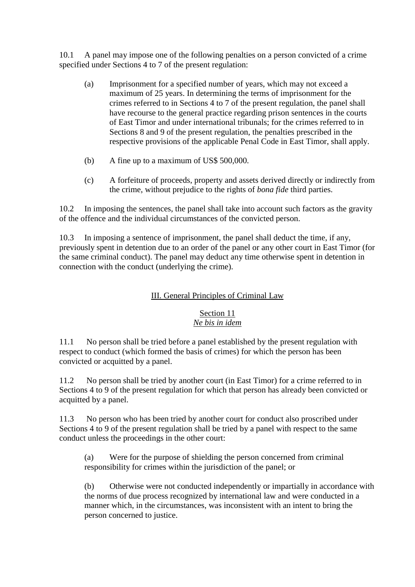10.1 A panel may impose one of the following penalties on a person convicted of a crime specified under Sections 4 to 7 of the present regulation:

- (a) Imprisonment for a specified number of years, which may not exceed a maximum of 25 years. In determining the terms of imprisonment for the crimes referred to in Sections 4 to 7 of the present regulation, the panel shall have recourse to the general practice regarding prison sentences in the courts of East Timor and under international tribunals; for the crimes referred to in Sections 8 and 9 of the present regulation, the penalties prescribed in the respective provisions of the applicable Penal Code in East Timor, shall apply.
- (b) A fine up to a maximum of US\$ 500,000.
- (c) A forfeiture of proceeds, property and assets derived directly or indirectly from the crime, without prejudice to the rights of *bona fide* third parties.

10.2 In imposing the sentences, the panel shall take into account such factors as the gravity of the offence and the individual circumstances of the convicted person.

10.3 In imposing a sentence of imprisonment, the panel shall deduct the time, if any, previously spent in detention due to an order of the panel or any other court in East Timor (for the same criminal conduct). The panel may deduct any time otherwise spent in detention in connection with the conduct (underlying the crime).

# III. General Principles of Criminal Law

### Section 11 *Ne bis in idem*

11.1 No person shall be tried before a panel established by the present regulation with respect to conduct (which formed the basis of crimes) for which the person has been convicted or acquitted by a panel.

11.2 No person shall be tried by another court (in East Timor) for a crime referred to in Sections 4 to 9 of the present regulation for which that person has already been convicted or acquitted by a panel.

11.3 No person who has been tried by another court for conduct also proscribed under Sections 4 to 9 of the present regulation shall be tried by a panel with respect to the same conduct unless the proceedings in the other court:

(a) Were for the purpose of shielding the person concerned from criminal responsibility for crimes within the jurisdiction of the panel; or

(b) Otherwise were not conducted independently or impartially in accordance with the norms of due process recognized by international law and were conducted in a manner which, in the circumstances, was inconsistent with an intent to bring the person concerned to justice.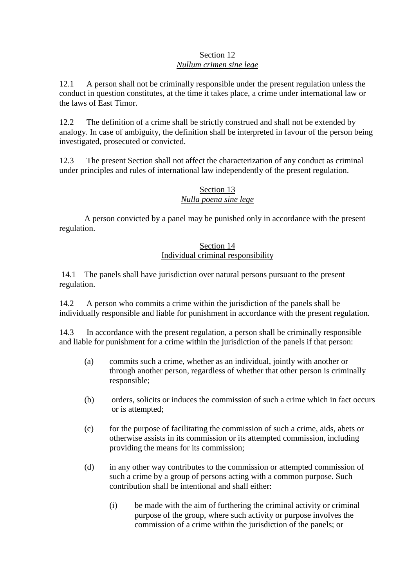### Section 12 *Nullum crimen sine lege*

12.1 A person shall not be criminally responsible under the present regulation unless the conduct in question constitutes, at the time it takes place, a crime under international law or the laws of East Timor.

12.2 The definition of a crime shall be strictly construed and shall not be extended by analogy. In case of ambiguity, the definition shall be interpreted in favour of the person being investigated, prosecuted or convicted.

12.3 The present Section shall not affect the characterization of any conduct as criminal under principles and rules of international law independently of the present regulation.

# Section 13

### *Nulla poena sine lege*

A person convicted by a panel may be punished only in accordance with the present regulation.

### Section 14 Individual criminal responsibility

 14.1 The panels shall have jurisdiction over natural persons pursuant to the present regulation.

14.2 A person who commits a crime within the jurisdiction of the panels shall be individually responsible and liable for punishment in accordance with the present regulation.

14.3 In accordance with the present regulation, a person shall be criminally responsible and liable for punishment for a crime within the jurisdiction of the panels if that person:

- (a) commits such a crime, whether as an individual, jointly with another or through another person, regardless of whether that other person is criminally responsible;
- (b) orders, solicits or induces the commission of such a crime which in fact occurs or is attempted;
- (c) for the purpose of facilitating the commission of such a crime, aids, abets or otherwise assists in its commission or its attempted commission, including providing the means for its commission;
- (d) in any other way contributes to the commission or attempted commission of such a crime by a group of persons acting with a common purpose. Such contribution shall be intentional and shall either:
	- (i) be made with the aim of furthering the criminal activity or criminal purpose of the group, where such activity or purpose involves the commission of a crime within the jurisdiction of the panels; or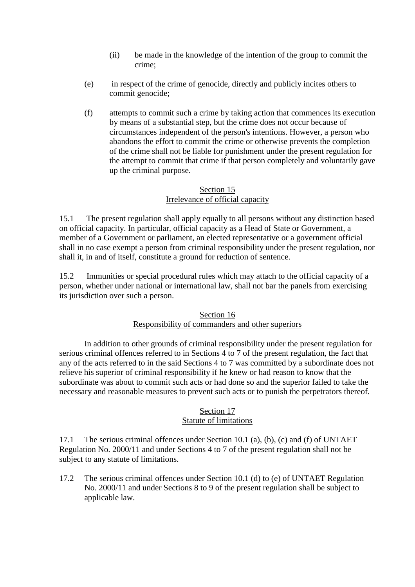- (ii) be made in the knowledge of the intention of the group to commit the crime;
- (e) in respect of the crime of genocide, directly and publicly incites others to commit genocide;
- (f) attempts to commit such a crime by taking action that commences its execution by means of a substantial step, but the crime does not occur because of circumstances independent of the person's intentions. However, a person who abandons the effort to commit the crime or otherwise prevents the completion of the crime shall not be liable for punishment under the present regulation for the attempt to commit that crime if that person completely and voluntarily gave up the criminal purpose.

### Section 15 Irrelevance of official capacity

15.1 The present regulation shall apply equally to all persons without any distinction based on official capacity. In particular, official capacity as a Head of State or Government, a member of a Government or parliament, an elected representative or a government official shall in no case exempt a person from criminal responsibility under the present regulation, nor shall it, in and of itself, constitute a ground for reduction of sentence.

15.2 Immunities or special procedural rules which may attach to the official capacity of a person, whether under national or international law, shall not bar the panels from exercising its jurisdiction over such a person.

### Section 16

### Responsibility of commanders and other superiors

In addition to other grounds of criminal responsibility under the present regulation for serious criminal offences referred to in Sections 4 to 7 of the present regulation, the fact that any of the acts referred to in the said Sections 4 to 7 was committed by a subordinate does not relieve his superior of criminal responsibility if he knew or had reason to know that the subordinate was about to commit such acts or had done so and the superior failed to take the necessary and reasonable measures to prevent such acts or to punish the perpetrators thereof.

### Section 17 Statute of limitations

17.1 The serious criminal offences under Section 10.1 (a), (b), (c) and (f) of UNTAET Regulation No. 2000/11 and under Sections 4 to 7 of the present regulation shall not be subject to any statute of limitations.

17.2 The serious criminal offences under Section 10.1 (d) to (e) of UNTAET Regulation No. 2000/11 and under Sections 8 to 9 of the present regulation shall be subject to applicable law.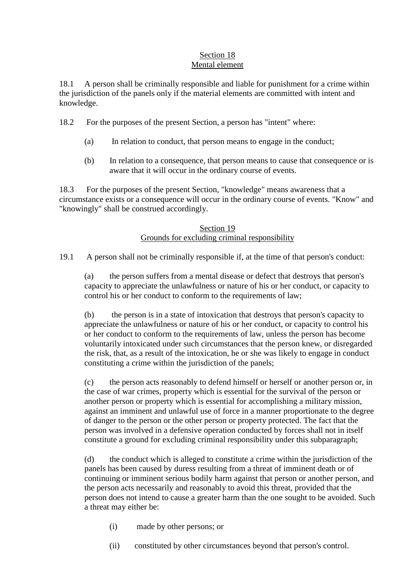### Section 18 Mental element

18.1 A person shall be criminally responsible and liable for punishment for a crime within the jurisdiction of the panels only if the material elements are committed with intent and knowledge.

18.2 For the purposes of the present Section, a person has "intent" where:

- (a) In relation to conduct, that person means to engage in the conduct;
- (b) In relation to a consequence, that person means to cause that consequence or is aware that it will occur in the ordinary course of events.

18.3 For the purposes of the present Section, "knowledge" means awareness that a circumstance exists or a consequence will occur in the ordinary course of events. "Know" and "knowingly" shall be construed accordingly.

# Section 19 Grounds for excluding criminal responsibility

19.1 A person shall not be criminally responsible if, at the time of that person's conduct:

(a) the person suffers from a mental disease or defect that destroys that person's capacity to appreciate the unlawfulness or nature of his or her conduct, or capacity to control his or her conduct to conform to the requirements of law;

(b) the person is in a state of intoxication that destroys that person's capacity to appreciate the unlawfulness or nature of his or her conduct, or capacity to control his or her conduct to conform to the requirements of law, unless the person has become voluntarily intoxicated under such circumstances that the person knew, or disregarded the risk, that, as a result of the intoxication, he or she was likely to engage in conduct constituting a crime within the jurisdiction of the panels;

(c) the person acts reasonably to defend himself or herself or another person or, in the case of war crimes, property which is essential for the survival of the person or another person or property which is essential for accomplishing a military mission, against an imminent and unlawful use of force in a manner proportionate to the degree of danger to the person or the other person or property protected. The fact that the person was involved in a defensive operation conducted by forces shall not in itself constitute a ground for excluding criminal responsibility under this subparagraph;

(d) the conduct which is alleged to constitute a crime within the jurisdiction of the panels has been caused by duress resulting from a threat of imminent death or of continuing or imminent serious bodily harm against that person or another person, and the person acts necessarily and reasonably to avoid this threat, provided that the person does not intend to cause a greater harm than the one sought to be avoided. Such a threat may either be:

- (i) made by other persons; or
- (ii) constituted by other circumstances beyond that person's control.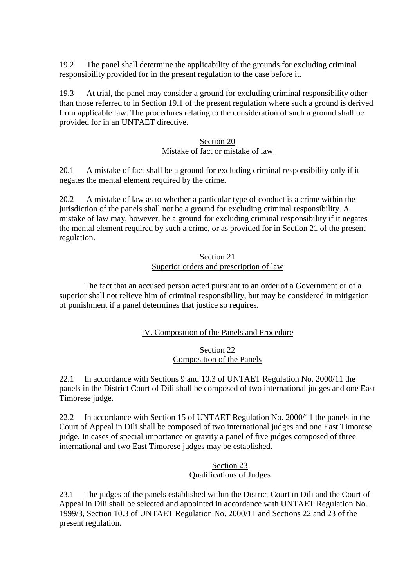19.2 The panel shall determine the applicability of the grounds for excluding criminal responsibility provided for in the present regulation to the case before it.

19.3 At trial, the panel may consider a ground for excluding criminal responsibility other than those referred to in Section 19.1 of the present regulation where such a ground is derived from applicable law. The procedures relating to the consideration of such a ground shall be provided for in an UNTAET directive.

### Section 20 Mistake of fact or mistake of law

20.1 A mistake of fact shall be a ground for excluding criminal responsibility only if it negates the mental element required by the crime.

20.2 A mistake of law as to whether a particular type of conduct is a crime within the jurisdiction of the panels shall not be a ground for excluding criminal responsibility. A mistake of law may, however, be a ground for excluding criminal responsibility if it negates the mental element required by such a crime, or as provided for in Section 21 of the present regulation.

### Section 21 Superior orders and prescription of law

The fact that an accused person acted pursuant to an order of a Government or of a superior shall not relieve him of criminal responsibility, but may be considered in mitigation of punishment if a panel determines that justice so requires.

# IV. Composition of the Panels and Procedure

# Section 22 Composition of the Panels

22.1 In accordance with Sections 9 and 10.3 of UNTAET Regulation No. 2000/11 the panels in the District Court of Dili shall be composed of two international judges and one East Timorese judge.

22.2 In accordance with Section 15 of UNTAET Regulation No. 2000/11 the panels in the Court of Appeal in Dili shall be composed of two international judges and one East Timorese judge. In cases of special importance or gravity a panel of five judges composed of three international and two East Timorese judges may be established.

### Section 23 Qualifications of Judges

23.1 The judges of the panels established within the District Court in Dili and the Court of Appeal in Dili shall be selected and appointed in accordance with UNTAET Regulation No. 1999/3, Section 10.3 of UNTAET Regulation No. 2000/11 and Sections 22 and 23 of the present regulation.